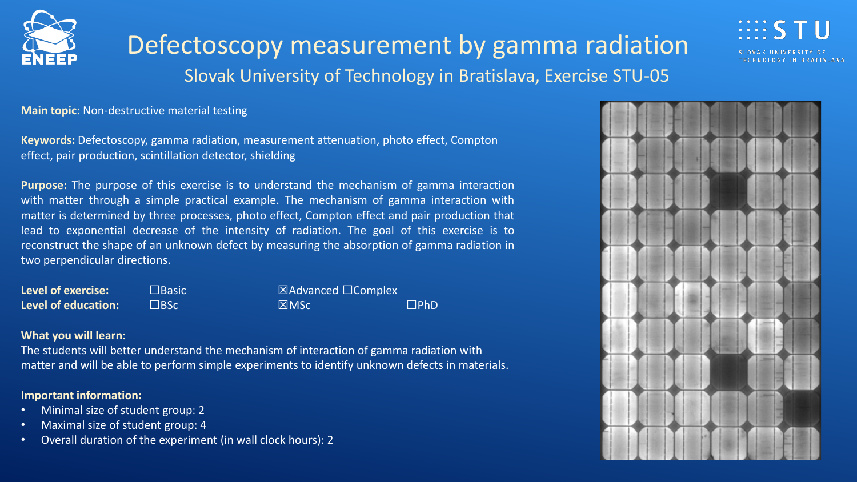

Defectoscopy measurement by gamma radiation Slovak University of Technology in Bratislava, Exercise STU-05



**Main topic:** Non-destructive material testing

**Keywords:** Defectoscopy, gamma radiation, measurement attenuation, photo effect, Compton effect, pair production, scintillation detector, shielding

**Purpose:** The purpose of this exercise is to understand the mechanism of gamma interaction with matter through a simple practical example. The mechanism of gamma interaction with matter is determined by three processes, photo effect, Compton effect and pair production that lead to exponential decrease of the intensity of radiation. The goal of this exercise is to reconstruct the shape of an unknown defect by measuring the absorption of gamma radiation in two perpendicular directions.

| <b>Level of exercise:</b>  | $\Box$ Basic | $\boxtimes$ Advanced $\Box$ Complex |               |
|----------------------------|--------------|-------------------------------------|---------------|
| <b>Level of education:</b> | $\Box$ BSc   | M <sub>SC</sub>                     | $\square$ PhD |

## **What you will learn:**

The students will better understand the mechanism of interaction of gamma radiation with matter and will be able to perform simple experiments to identify unknown defects in materials.

## **Important information:**

- Minimal size of student group: 2
- Maximal size of student group: 4
- Overall duration of the experiment (in wall clock hours): 2